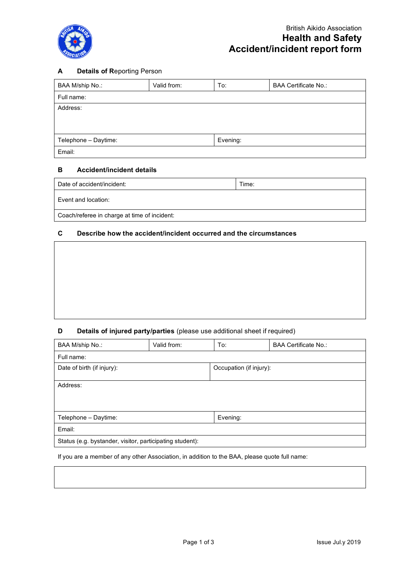

### **A Details of R**eporting Person

| BAA M/ship No.:      | Valid from: | To:      | <b>BAA Certificate No.:</b> |
|----------------------|-------------|----------|-----------------------------|
| Full name:           |             |          |                             |
| Address:             |             |          |                             |
|                      |             |          |                             |
|                      |             |          |                             |
| Telephone - Daytime: |             | Evening: |                             |
| Email:               |             |          |                             |

#### **B Accident/incident details**

| Date of accident/incident:                   | Time: |
|----------------------------------------------|-------|
| Event and location:                          |       |
| Coach/referee in charge at time of incident: |       |

## **C Describe how the accident/incident occurred and the circumstances**

## **D Details of injured party/parties** (please use additional sheet if required)

| BAA M/ship No.:                                          | Valid from: | To:                     | <b>BAA Certificate No.:</b> |
|----------------------------------------------------------|-------------|-------------------------|-----------------------------|
| Full name:                                               |             |                         |                             |
| Date of birth (if injury):                               |             | Occupation (if injury): |                             |
| Address:                                                 |             |                         |                             |
|                                                          |             |                         |                             |
|                                                          |             |                         |                             |
| Telephone - Daytime:                                     |             | Evening:                |                             |
| Email:                                                   |             |                         |                             |
| Status (e.g. bystander, visitor, participating student): |             |                         |                             |

If you are a member of any other Association, in addition to the BAA, please quote full name: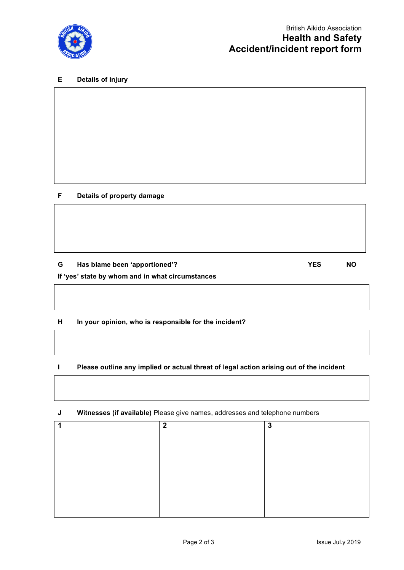

### **E Details of injury**

### **F Details of property damage**

# **G Has blame been 'apportioned'? YES NO**

## **If 'yes' state by whom and in what circumstances**

### **H In your opinion, who is responsible for the incident?**

### **I Please outline any implied or actual threat of legal action arising out of the incident**

| Witnesses (if available) Please give names, addresses and telephone numbers |             |   |
|-----------------------------------------------------------------------------|-------------|---|
|                                                                             | $\mathbf 2$ | 3 |
|                                                                             |             |   |
|                                                                             |             |   |
|                                                                             |             |   |
|                                                                             |             |   |
|                                                                             |             |   |
|                                                                             |             |   |
|                                                                             |             |   |
|                                                                             |             |   |
|                                                                             |             |   |

**J Witnesses (if available)** Please give names, addresses and telephone numbers